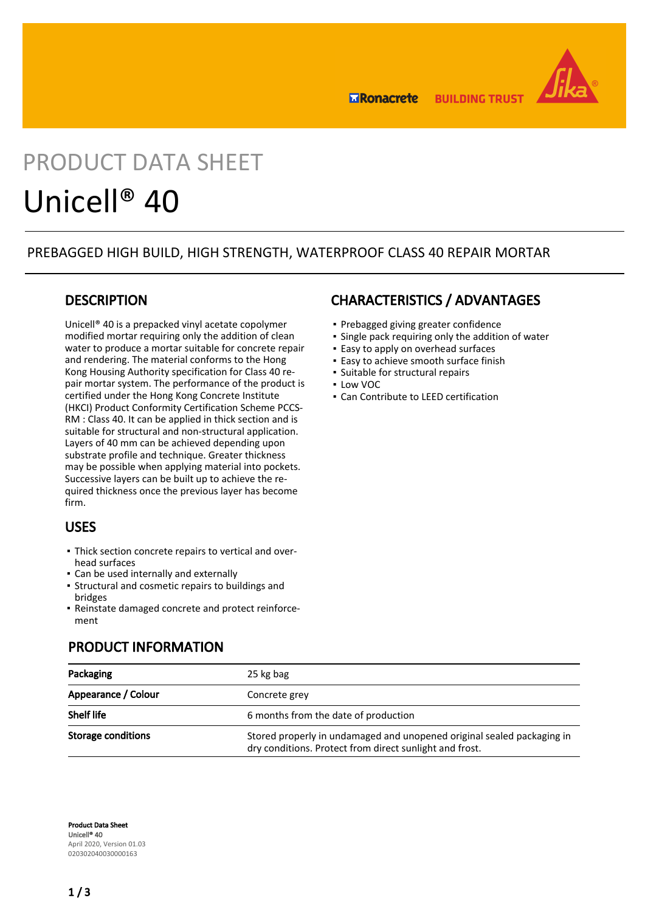

**BUILDING TRUST ERonacrete** 

# PRODUCT DATA SHEET Unicell® 40

## PREBAGGED HIGH BUILD, HIGH STRENGTH, WATERPROOF CLASS 40 REPAIR MORTAR

## **DESCRIPTION**

Unicell® 40 is a prepacked vinyl acetate copolymer modified mortar requiring only the addition of clean water to produce a mortar suitable for concrete repair and rendering. The material conforms to the Hong Kong Housing Authority specification for Class 40 repair mortar system. The performance of the product is certified under the Hong Kong Concrete Institute (HKCI) Product Conformity Certification Scheme PCCS-RM : Class 40. It can be applied in thick section and is suitable for structural and non-structural application. Layers of 40 mm can be achieved depending upon substrate profile and technique. Greater thickness may be possible when applying material into pockets. Successive layers can be built up to achieve the required thickness once the previous layer has become firm.

## USES

- Thick section concrete repairs to vertical and over-▪ head surfaces
- Can be used internally and externally
- Structural and cosmetic repairs to buildings and bridges
- Reinstate damaged concrete and protect reinforcement

## PRODUCT INFORMATION

## CHARACTERISTICS / ADVANTAGES

- Prebagged giving greater confidence
- Single pack requiring only the addition of water
- **Easy to apply on overhead surfaces**
- **Easy to achieve smooth surface finish**
- Suitable for structural repairs
- Low VOC
- Can Contribute to LEED certification

| Packaging           | 25 kg bag                                                                                                                         |  |  |  |
|---------------------|-----------------------------------------------------------------------------------------------------------------------------------|--|--|--|
| Appearance / Colour | Concrete grey                                                                                                                     |  |  |  |
| <b>Shelf life</b>   | 6 months from the date of production                                                                                              |  |  |  |
| Storage conditions  | Stored properly in undamaged and unopened original sealed packaging in<br>dry conditions. Protect from direct sunlight and frost. |  |  |  |

Product Data Sheet Unicell® 40 April 2020, Version 01.03 020302040030000163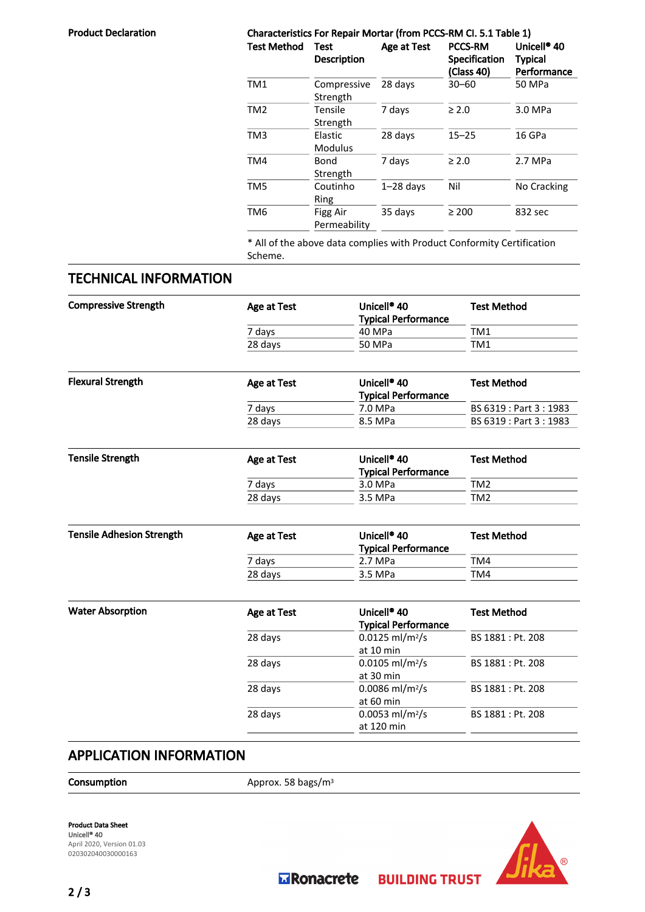| <b>Product Declaration</b> | Characteristics For Repair Mortar (from PCCS-RM Cl. 5.1 Table 1) |                                   |             |                                               |                                                          |  |
|----------------------------|------------------------------------------------------------------|-----------------------------------|-------------|-----------------------------------------------|----------------------------------------------------------|--|
|                            | <b>Test Method</b>                                               | <b>Test</b><br><b>Description</b> | Age at Test | <b>PCCS-RM</b><br>Specification<br>(Class 40) | Unicell <sup>®</sup> 40<br><b>Typical</b><br>Performance |  |
|                            | TM1                                                              | Compressive<br>Strength           | 28 days     | $30 - 60$                                     | 50 MPa                                                   |  |
|                            | TM <sub>2</sub>                                                  | Tensile<br>Strength               | 7 days      | $\geq 2.0$                                    | 3.0 MPa                                                  |  |
|                            | TM3                                                              | Elastic<br><b>Modulus</b>         | 28 days     | $15 - 25$                                     | 16 GPa                                                   |  |
|                            | TM4                                                              | Bond<br>Strength                  | 7 days      | $\geq 2.0$                                    | 2.7 MPa                                                  |  |
|                            | TM <sub>5</sub>                                                  | Coutinho<br>Ring                  | $1-28$ days | Nil                                           | No Cracking                                              |  |
|                            | TM <sub>6</sub>                                                  | Figg Air<br>Permeability          | 35 days     | $\geq 200$                                    | 832 sec                                                  |  |

\* All of the above data complies with Product Conformity Certification Scheme.

## TECHNICAL INFORMATION

| <b>Compressive Strength</b>      | Age at Test        | Unicell <sup>®</sup> 40<br><b>Typical Performance</b> | <b>Test Method</b><br>TM1<br>TM1 |  |
|----------------------------------|--------------------|-------------------------------------------------------|----------------------------------|--|
|                                  | 7 days             | 40 MPa                                                |                                  |  |
|                                  | 28 days            | 50 MPa                                                |                                  |  |
|                                  |                    |                                                       |                                  |  |
| <b>Flexural Strength</b>         | Age at Test        | Unicell <sup>®</sup> 40<br><b>Typical Performance</b> | <b>Test Method</b>               |  |
|                                  | 7 days             | 7.0 MPa                                               | BS 6319: Part 3: 1983            |  |
|                                  | 28 days            | 8.5 MPa                                               | BS 6319: Part 3: 1983            |  |
|                                  |                    |                                                       |                                  |  |
| <b>Tensile Strength</b>          | <b>Age at Test</b> | Unicell <sup>®</sup> 40<br><b>Typical Performance</b> | <b>Test Method</b>               |  |
|                                  | 7 days             | 3.0 MPa                                               | TM <sub>2</sub>                  |  |
|                                  | 28 days            | 3.5 MPa                                               | TM <sub>2</sub>                  |  |
|                                  |                    |                                                       |                                  |  |
| <b>Tensile Adhesion Strength</b> | Age at Test        | Unicell <sup>®</sup> 40<br><b>Typical Performance</b> | <b>Test Method</b>               |  |
|                                  | 7 days             | 2.7 MPa                                               | TM4                              |  |
|                                  | 28 days            | 3.5 MPa                                               | TM4                              |  |
|                                  |                    |                                                       |                                  |  |
| <b>Water Absorption</b>          | Age at Test        | Unicell <sup>®</sup> 40<br><b>Typical Performance</b> | <b>Test Method</b>               |  |
|                                  | 28 days            | $0.0125$ ml/m <sup>2</sup> /s                         | BS 1881 : Pt. 208                |  |
|                                  |                    | at 10 min                                             |                                  |  |
|                                  | 28 days            | $0.0105$ ml/m <sup>2</sup> /s                         | BS 1881 : Pt. 208                |  |
|                                  |                    | at 30 min                                             |                                  |  |
|                                  | 28 days            | $0.0086$ ml/m <sup>2</sup> /s                         | BS 1881 : Pt. 208                |  |
|                                  | 28 days            | at 60 min<br>$0.0053$ ml/m <sup>2</sup> /s            | BS 1881 : Pt. 208                |  |
|                                  |                    | at 120 min                                            |                                  |  |
|                                  |                    |                                                       |                                  |  |

## APPLICATION INFORMATION

Consumption Approx. 58 bags/m<sup>3</sup>

Product Data Sheet Unicell® 40 April 2020, Version 01.03 020302040030000163



**Explorance te** 

**BUILDING TRUST**